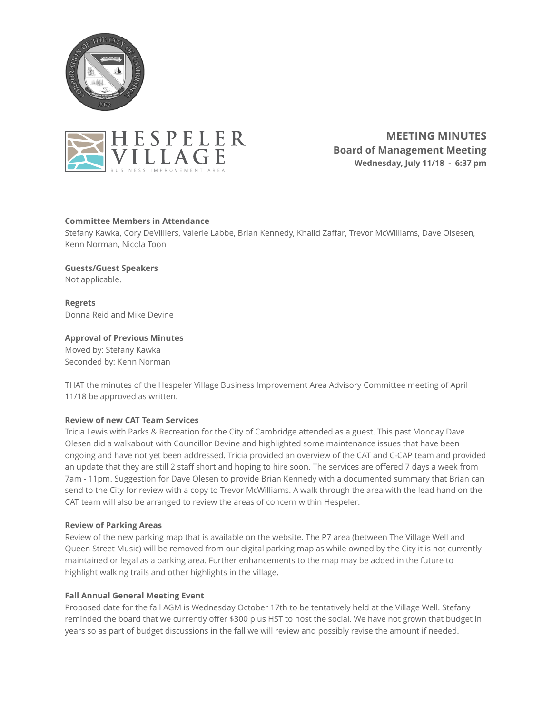



**MEETING MINUTES Board of Management Meeting Wednesday, July 11/18 - 6:37 pm** 

# **Committee Members in Attendance**

Stefany Kawka, Cory DeVilliers, Valerie Labbe, Brian Kennedy, Khalid Zaffar, Trevor McWilliams, Dave Olsesen, Kenn Norman, Nicola Toon

# **Guests/Guest Speakers**

Not applicable.

**Regrets**  Donna Reid and Mike Devine

# **Approval of Previous Minutes**

Moved by: Stefany Kawka Seconded by: Kenn Norman

THAT the minutes of the Hespeler Village Business Improvement Area Advisory Committee meeting of April 11/18 be approved as written.

### **Review of new CAT Team Services**

Tricia Lewis with Parks & Recreation for the City of Cambridge attended as a guest. This past Monday Dave Olesen did a walkabout with Councillor Devine and highlighted some maintenance issues that have been ongoing and have not yet been addressed. Tricia provided an overview of the CAT and C-CAP team and provided an update that they are still 2 staff short and hoping to hire soon. The services are offered 7 days a week from 7am - 11pm. Suggestion for Dave Olesen to provide Brian Kennedy with a documented summary that Brian can send to the City for review with a copy to Trevor McWilliams. A walk through the area with the lead hand on the CAT team will also be arranged to review the areas of concern within Hespeler.

### **Review of Parking Areas**

Review of the new parking map that is available on the website. The P7 area (between The Village Well and Queen Street Music) will be removed from our digital parking map as while owned by the City it is not currently maintained or legal as a parking area. Further enhancements to the map may be added in the future to highlight walking trails and other highlights in the village.

### **Fall Annual General Meeting Event**

Proposed date for the fall AGM is Wednesday October 17th to be tentatively held at the Village Well. Stefany reminded the board that we currently offer \$300 plus HST to host the social. We have not grown that budget in years so as part of budget discussions in the fall we will review and possibly revise the amount if needed.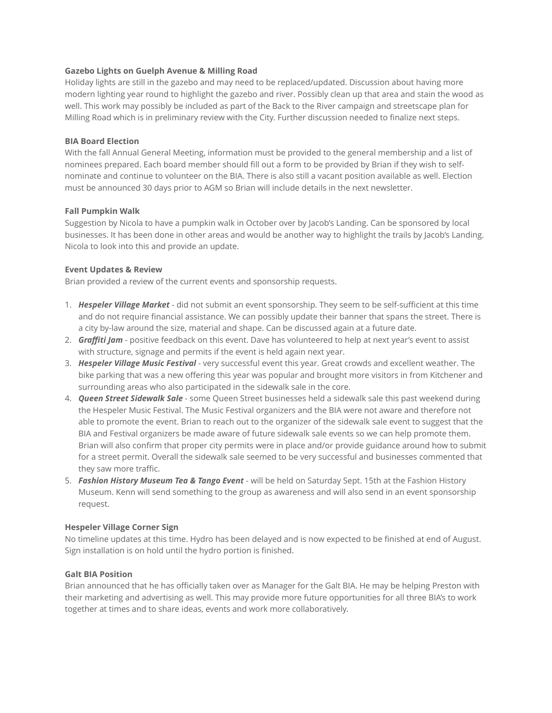### **Gazebo Lights on Guelph Avenue & Milling Road**

Holiday lights are still in the gazebo and may need to be replaced/updated. Discussion about having more modern lighting year round to highlight the gazebo and river. Possibly clean up that area and stain the wood as well. This work may possibly be included as part of the Back to the River campaign and streetscape plan for Milling Road which is in preliminary review with the City. Further discussion needed to finalize next steps.

# **BIA Board Election**

With the fall Annual General Meeting, information must be provided to the general membership and a list of nominees prepared. Each board member should fill out a form to be provided by Brian if they wish to selfnominate and continue to volunteer on the BIA. There is also still a vacant position available as well. Election must be announced 30 days prior to AGM so Brian will include details in the next newsletter.

# **Fall Pumpkin Walk**

Suggestion by Nicola to have a pumpkin walk in October over by Jacob's Landing. Can be sponsored by local businesses. It has been done in other areas and would be another way to highlight the trails by Jacob's Landing. Nicola to look into this and provide an update.

# **Event Updates & Review**

Brian provided a review of the current events and sponsorship requests.

- 1. *Hespeler Village Market* did not submit an event sponsorship. They seem to be self-sufficient at this time and do not require financial assistance. We can possibly update their banner that spans the street. There is a city by-law around the size, material and shape. Can be discussed again at a future date.
- 2. *Graffiti Jam* positive feedback on this event. Dave has volunteered to help at next year's event to assist with structure, signage and permits if the event is held again next year.
- 3. *Hespeler Village Music Festival* very successful event this year. Great crowds and excellent weather. The bike parking that was a new offering this year was popular and brought more visitors in from Kitchener and surrounding areas who also participated in the sidewalk sale in the core.
- 4. *Queen Street Sidewalk Sale* some Queen Street businesses held a sidewalk sale this past weekend during the Hespeler Music Festival. The Music Festival organizers and the BIA were not aware and therefore not able to promote the event. Brian to reach out to the organizer of the sidewalk sale event to suggest that the BIA and Festival organizers be made aware of future sidewalk sale events so we can help promote them. Brian will also confirm that proper city permits were in place and/or provide guidance around how to submit for a street permit. Overall the sidewalk sale seemed to be very successful and businesses commented that they saw more traffic.
- 5. *Fashion History Museum Tea & Tango Event* will be held on Saturday Sept. 15th at the Fashion History Museum. Kenn will send something to the group as awareness and will also send in an event sponsorship request.

# **Hespeler Village Corner Sign**

No timeline updates at this time. Hydro has been delayed and is now expected to be finished at end of August. Sign installation is on hold until the hydro portion is finished.

# **Galt BIA Position**

Brian announced that he has officially taken over as Manager for the Galt BIA. He may be helping Preston with their marketing and advertising as well. This may provide more future opportunities for all three BIA's to work together at times and to share ideas, events and work more collaboratively.